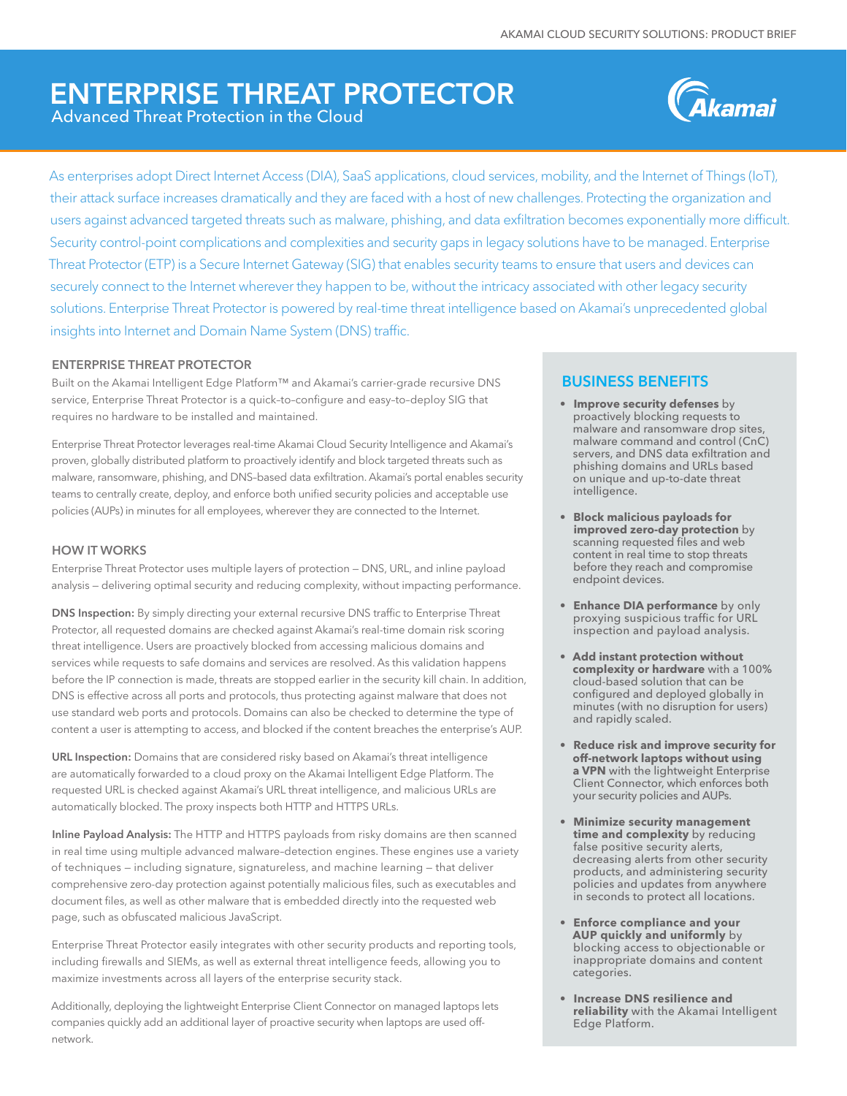# ENTERPRISE THREAT PROTECTOR Advanced Threat Protection in the Cloud



As enterprises adopt Direct Internet Access (DIA), SaaS applications, cloud services, mobility, and the Internet of Things (IoT), their attack surface increases dramatically and they are faced with a host of new challenges. Protecting the organization and users against advanced targeted threats such as malware, phishing, and data exfiltration becomes exponentially more difficult. Security control-point complications and complexities and security gaps in legacy solutions have to be managed. Enterprise Threat Protector (ETP) is a Secure Internet Gateway (SIG) that enables security teams to ensure that users and devices can securely connect to the Internet wherever they happen to be, without the intricacy associated with other legacy security solutions. Enterprise Threat Protector is powered by real-time threat intelligence based on Akamai's unprecedented global insights into Internet and Domain Name System (DNS) traffic.

#### ENTERPRISE THREAT PROTECTOR

Built on the Akamai Intelligent Edge Platform™ and Akamai's carrier-grade recursive DNS service, Enterprise Threat Protector is a quick–to–configure and easy–to–deploy SIG that requires no hardware to be installed and maintained.

Enterprise Threat Protector leverages real-time Akamai Cloud Security Intelligence and Akamai's proven, globally distributed platform to proactively identify and block targeted threats such as malware, ransomware, phishing, and DNS–based data exfiltration. Akamai's portal enables security teams to centrally create, deploy, and enforce both unified security policies and acceptable use policies (AUPs) in minutes for all employees, wherever they are connected to the Internet.

### HOW IT WORKS

Enterprise Threat Protector uses multiple layers of protection — DNS, URL, and inline payload analysis — delivering optimal security and reducing complexity, without impacting performance.

DNS Inspection: By simply directing your external recursive DNS traffic to Enterprise Threat Protector, all requested domains are checked against Akamai's real-time domain risk scoring threat intelligence. Users are proactively blocked from accessing malicious domains and services while requests to safe domains and services are resolved. As this validation happens before the IP connection is made, threats are stopped earlier in the security kill chain. In addition, DNS is effective across all ports and protocols, thus protecting against malware that does not use standard web ports and protocols. Domains can also be checked to determine the type of content a user is attempting to access, and blocked if the content breaches the enterprise's AUP.

URL Inspection: Domains that are considered risky based on Akamai's threat intelligence are automatically forwarded to a cloud proxy on the Akamai Intelligent Edge Platform. The requested URL is checked against Akamai's URL threat intelligence, and malicious URLs are automatically blocked. The proxy inspects both HTTP and HTTPS URLs.

Inline Payload Analysis: The HTTP and HTTPS payloads from risky domains are then scanned in real time using multiple advanced malware–detection engines. These engines use a variety of techniques — including signature, signatureless, and machine learning — that deliver comprehensive zero-day protection against potentially malicious files, such as executables and document files, as well as other malware that is embedded directly into the requested web page, such as obfuscated malicious JavaScript.

Enterprise Threat Protector easily integrates with other security products and reporting tools, including firewalls and SIEMs, as well as external threat intelligence feeds, allowing you to maximize investments across all layers of the enterprise security stack.

Additionally, deploying the lightweight Enterprise Client Connector on managed laptops lets companies quickly add an additional layer of proactive security when laptops are used offnetwork.

## BUSINESS BENEFITS

- **• Improve security defenses** by proactively blocking requests to malware and ransomware drop sites, malware command and control (CnC) servers, and DNS data exfiltration and phishing domains and URLs based on unique and up-to-date threat intelligence.
- **• Block malicious payloads for improved zero-day protection** by scanning requested files and web content in real time to stop threats before they reach and compromise endpoint devices.
- **• Enhance DIA performance** by only proxying suspicious traffic for URL inspection and payload analysis.
- **• Add instant protection without complexity or hardware** with a 100% cloud-based solution that can be configured and deployed globally in minutes (with no disruption for users) and rapidly scaled.
- **• Reduce risk and improve security for off-network laptops without using a VPN** with the lightweight Enterprise Client Connector, which enforces both your security policies and AUPs.
- **• Minimize security management time and complexity** by reducing false positive security alerts, decreasing alerts from other security products, and administering security policies and updates from anywhere in seconds to protect all locations.
- **• Enforce compliance and your AUP quickly and uniformly** by blocking access to objectionable or inappropriate domains and content categories.
- **• Increase DNS resilience and reliability** with the Akamai Intelligent Edge Platform.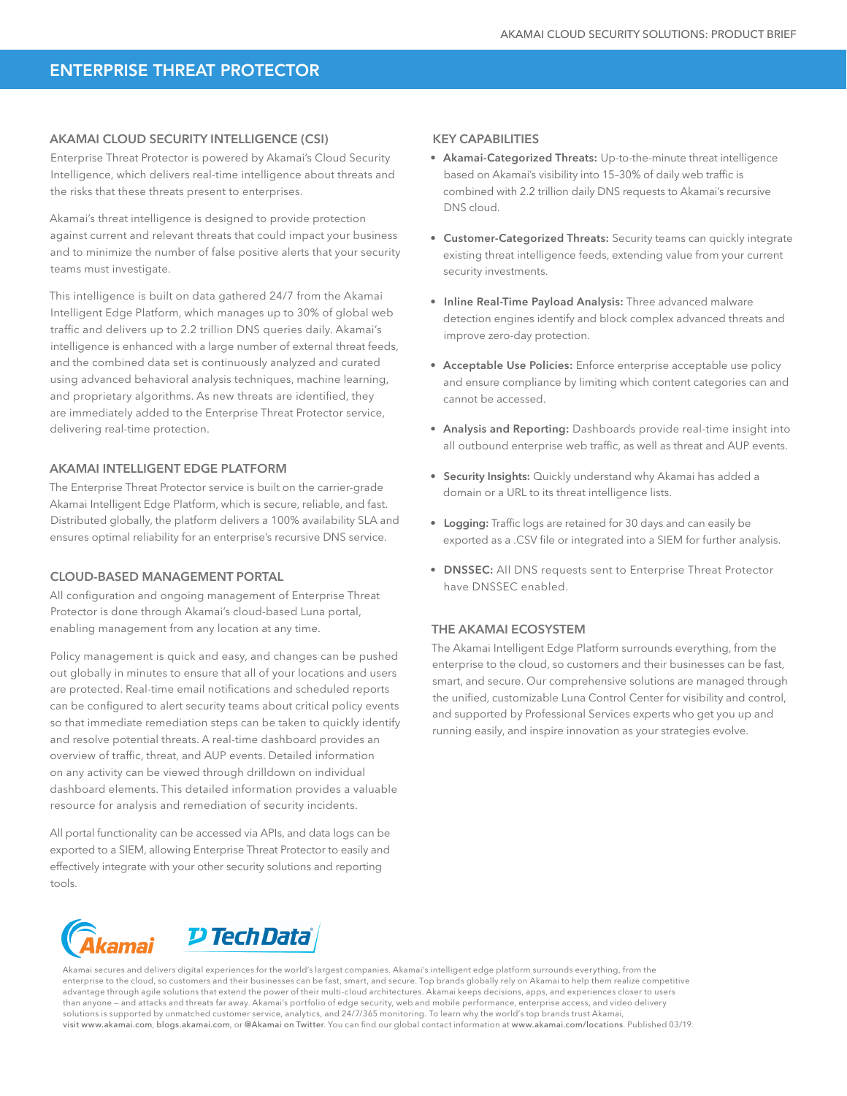## ENTERPRISE THREAT PROTECTOR

#### AKAMAI CLOUD SECURITY INTELLIGENCE (CSI)

Enterprise Threat Protector is powered by Akamai's Cloud Security Intelligence, which delivers real-time intelligence about threats and the risks that these threats present to enterprises.

Akamai's threat intelligence is designed to provide protection against current and relevant threats that could impact your business and to minimize the number of false positive alerts that your security teams must investigate.

This intelligence is built on data gathered 24/7 from the Akamai Intelligent Edge Platform, which manages up to 30% of global web traffic and delivers up to 2.2 trillion DNS queries daily. Akamai's intelligence is enhanced with a large number of external threat feeds, and the combined data set is continuously analyzed and curated using advanced behavioral analysis techniques, machine learning, and proprietary algorithms. As new threats are identified, they are immediately added to the Enterprise Threat Protector service, delivering real-time protection.

#### AKAMAI INTELLIGENT EDGE PLATFORM

The Enterprise Threat Protector service is built on the carrier-grade Akamai Intelligent Edge Platform, which is secure, reliable, and fast. Distributed globally, the platform delivers a 100% availability SLA and ensures optimal reliability for an enterprise's recursive DNS service.

#### CLOUD-BASED MANAGEMENT PORTAL

All configuration and ongoing management of Enterprise Threat Protector is done through Akamai's cloud-based Luna portal, enabling management from any location at any time.

Policy management is quick and easy, and changes can be pushed out globally in minutes to ensure that all of your locations and users are protected. Real-time email notifications and scheduled reports can be configured to alert security teams about critical policy events so that immediate remediation steps can be taken to quickly identify and resolve potential threats. A real-time dashboard provides an overview of traffic, threat, and AUP events. Detailed information on any activity can be viewed through drilldown on individual dashboard elements. This detailed information provides a valuable resource for analysis and remediation of security incidents.

All portal functionality can be accessed via APIs, and data logs can be exported to a SIEM, allowing Enterprise Threat Protector to easily and effectively integrate with your other security solutions and reporting tools.

### KEY CAPABILITIES

- Akamai-Categorized Threats: Up-to-the-minute threat intelligence based on Akamai's visibility into 15–30% of daily web traffic is combined with 2.2 trillion daily DNS requests to Akamai's recursive DNS cloud.
- Customer-Categorized Threats: Security teams can quickly integrate existing threat intelligence feeds, extending value from your current security investments.
- Inline Real-Time Payload Analysis: Three advanced malware detection engines identify and block complex advanced threats and improve zero-day protection.
- Acceptable Use Policies: Enforce enterprise acceptable use policy and ensure compliance by limiting which content categories can and cannot be accessed.
- Analysis and Reporting: Dashboards provide real-time insight into all outbound enterprise web traffic, as well as threat and AUP events.
- Security Insights: Quickly understand why Akamai has added a domain or a URL to its threat intelligence lists.
- Logging: Traffic logs are retained for 30 days and can easily be exported as a .CSV file or integrated into a SIEM for further analysis.
- DNSSEC: All DNS requests sent to Enterprise Threat Protector have DNSSEC enabled.

#### THE AKAMAI ECOSYSTEM

The Akamai Intelligent Edge Platform surrounds everything, from the enterprise to the cloud, so customers and their businesses can be fast, smart, and secure. Our comprehensive solutions are managed through the unified, customizable Luna Control Center for visibility and control, and supported by Professional Services experts who get you up and running easily, and inspire innovation as your strategies evolve.



Akamai secures and delivers digital experiences for the world's largest companies. Akamai's intelligent edge platform surrounds everything, from the enterprise to the cloud, so customers and their businesses can be fast, smart, and secure. Top brands globally rely on Akamai to help them realize competitive advantage through agile solutions that extend the power of their multi-cloud architectures. Akamai keeps decisions, apps, and experiences closer to users than anyone — and attacks and threats far away. Akamai's portfolio of edge security, web and mobile performance, enterprise access, and video delivery solutions is supported by unmatched customer service, analytics, and 24/7/365 monitoring. To learn why the world's top brands trust Akamai visit www.akamai.com, blogs.akamai.com, or @Akamai on Twitter. You can find our global contact information at [www.akamai.com/locations](http://www.akamai.com/locations). Published 03/19.